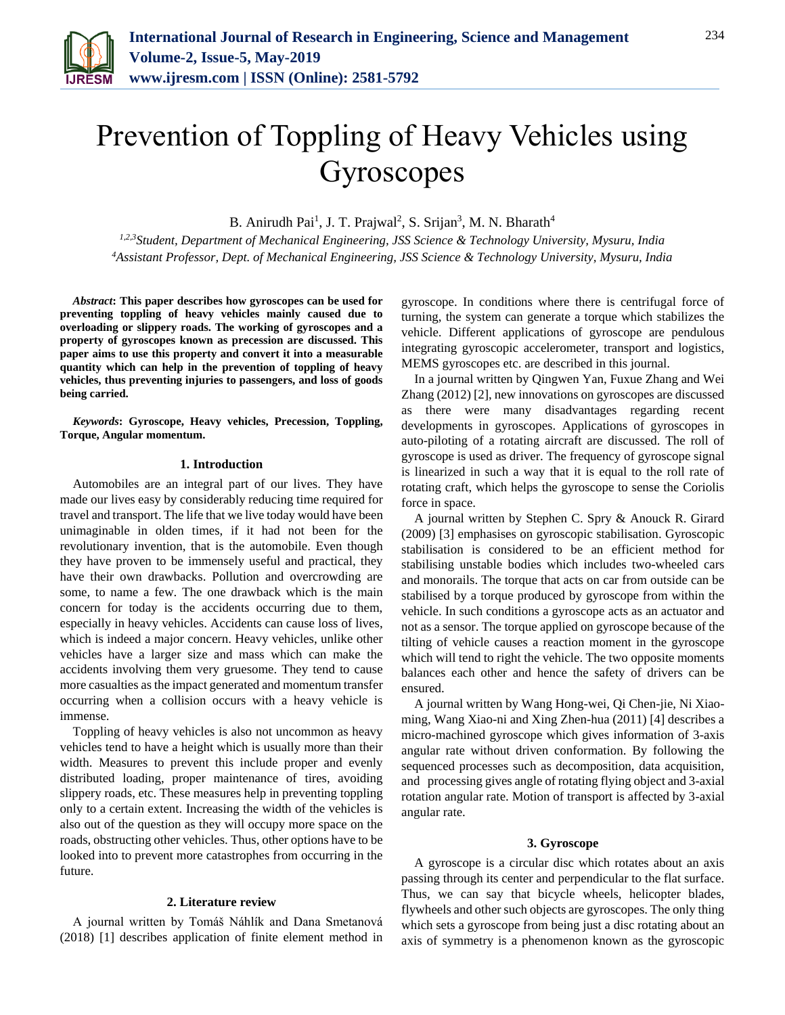

# Prevention of Toppling of Heavy Vehicles using Gyroscopes

B. Anirudh Pai<sup>1</sup>, J. T. Prajwal<sup>2</sup>, S. Srijan<sup>3</sup>, M. N. Bharath<sup>4</sup>

*1,2,3Student, Department of Mechanical Engineering, JSS Science & Technology University, Mysuru, India <sup>4</sup>Assistant Professor, Dept. of Mechanical Engineering, JSS Science & Technology University, Mysuru, India*

*Abstract***: This paper describes how gyroscopes can be used for preventing toppling of heavy vehicles mainly caused due to overloading or slippery roads. The working of gyroscopes and a property of gyroscopes known as precession are discussed. This paper aims to use this property and convert it into a measurable quantity which can help in the prevention of toppling of heavy vehicles, thus preventing injuries to passengers, and loss of goods being carried.** 

*Keywords***: Gyroscope, Heavy vehicles, Precession, Toppling, Torque, Angular momentum.**

## **1. Introduction**

Automobiles are an integral part of our lives. They have made our lives easy by considerably reducing time required for travel and transport. The life that we live today would have been unimaginable in olden times, if it had not been for the revolutionary invention, that is the automobile. Even though they have proven to be immensely useful and practical, they have their own drawbacks. Pollution and overcrowding are some, to name a few. The one drawback which is the main concern for today is the accidents occurring due to them, especially in heavy vehicles. Accidents can cause loss of lives, which is indeed a major concern. Heavy vehicles, unlike other vehicles have a larger size and mass which can make the accidents involving them very gruesome. They tend to cause more casualties as the impact generated and momentum transfer occurring when a collision occurs with a heavy vehicle is immense.

Toppling of heavy vehicles is also not uncommon as heavy vehicles tend to have a height which is usually more than their width. Measures to prevent this include proper and evenly distributed loading, proper maintenance of tires, avoiding slippery roads, etc. These measures help in preventing toppling only to a certain extent. Increasing the width of the vehicles is also out of the question as they will occupy more space on the roads, obstructing other vehicles. Thus, other options have to be looked into to prevent more catastrophes from occurring in the future.

## **2. Literature review**

A journal written by Tomáš Náhlík and Dana Smetanová (2018) [1] describes application of finite element method in

gyroscope. In conditions where there is centrifugal force of turning, the system can generate a torque which stabilizes the vehicle. Different applications of gyroscope are pendulous integrating gyroscopic accelerometer, transport and logistics, MEMS gyroscopes etc. are described in this journal.

In a journal written by Qingwen Yan, Fuxue Zhang and Wei Zhang (2012) [2], new innovations on gyroscopes are discussed as there were many disadvantages regarding recent developments in gyroscopes. Applications of gyroscopes in auto-piloting of a rotating aircraft are discussed. The roll of gyroscope is used as driver. The frequency of gyroscope signal is linearized in such a way that it is equal to the roll rate of rotating craft, which helps the gyroscope to sense the Coriolis force in space.

A journal written by Stephen C. Spry & Anouck R. Girard (2009) [3] emphasises on gyroscopic stabilisation. Gyroscopic stabilisation is considered to be an efficient method for stabilising unstable bodies which includes two-wheeled cars and monorails. The torque that acts on car from outside can be stabilised by a torque produced by gyroscope from within the vehicle. In such conditions a gyroscope acts as an actuator and not as a sensor. The torque applied on gyroscope because of the tilting of vehicle causes a reaction moment in the gyroscope which will tend to right the vehicle. The two opposite moments balances each other and hence the safety of drivers can be ensured.

A journal written by Wang Hong-wei, Qi Chen-jie, Ni Xiaoming, Wang Xiao-ni and Xing Zhen-hua (2011) [4] describes a micro-machined gyroscope which gives information of 3-axis angular rate without driven conformation. By following the sequenced processes such as decomposition, data acquisition, and processing gives angle of rotating flying object and 3-axial rotation angular rate. Motion of transport is affected by 3-axial angular rate.

## **3. Gyroscope**

A gyroscope is a circular disc which rotates about an axis passing through its center and perpendicular to the flat surface. Thus, we can say that bicycle wheels, helicopter blades, flywheels and other such objects are gyroscopes. The only thing which sets a gyroscope from being just a disc rotating about an axis of symmetry is a phenomenon known as the gyroscopic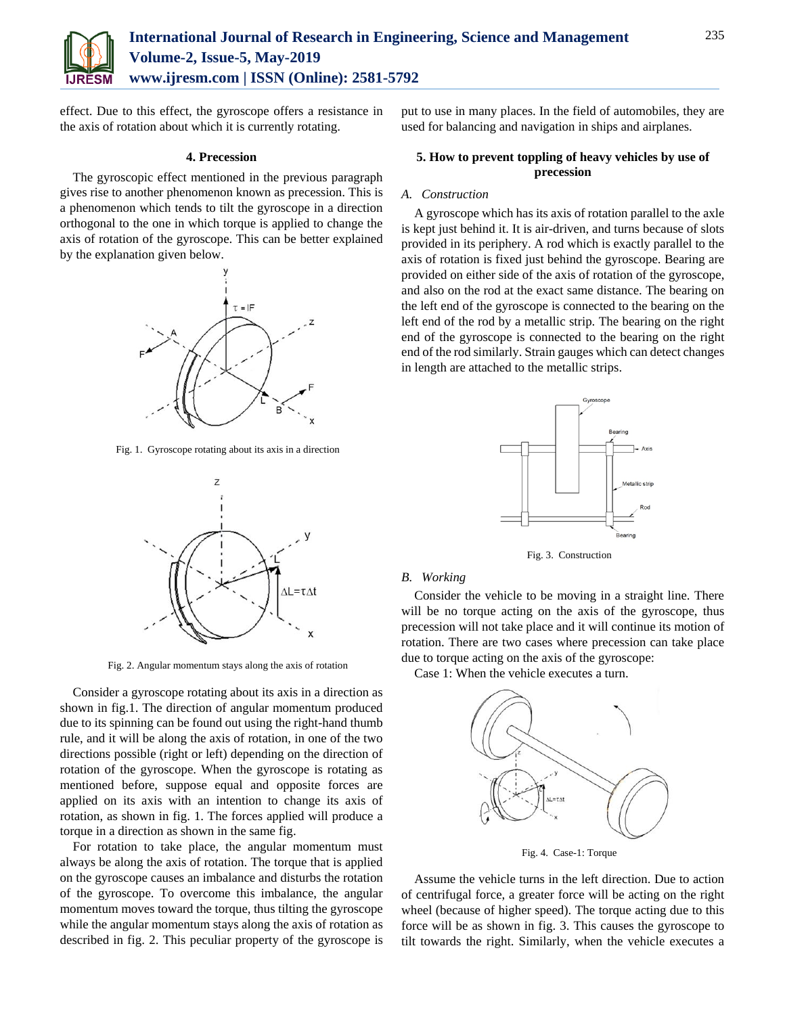

effect. Due to this effect, the gyroscope offers a resistance in the axis of rotation about which it is currently rotating.

## **4. Precession**

The gyroscopic effect mentioned in the previous paragraph gives rise to another phenomenon known as precession. This is a phenomenon which tends to tilt the gyroscope in a direction orthogonal to the one in which torque is applied to change the axis of rotation of the gyroscope. This can be better explained by the explanation given below.



Fig. 1. Gyroscope rotating about its axis in a direction



Fig. 2. Angular momentum stays along the axis of rotation

Consider a gyroscope rotating about its axis in a direction as shown in fig.1. The direction of angular momentum produced due to its spinning can be found out using the right-hand thumb rule, and it will be along the axis of rotation, in one of the two directions possible (right or left) depending on the direction of rotation of the gyroscope. When the gyroscope is rotating as mentioned before, suppose equal and opposite forces are applied on its axis with an intention to change its axis of rotation, as shown in fig. 1. The forces applied will produce a torque in a direction as shown in the same fig.

For rotation to take place, the angular momentum must always be along the axis of rotation. The torque that is applied on the gyroscope causes an imbalance and disturbs the rotation of the gyroscope. To overcome this imbalance, the angular momentum moves toward the torque, thus tilting the gyroscope while the angular momentum stays along the axis of rotation as described in fig. 2. This peculiar property of the gyroscope is put to use in many places. In the field of automobiles, they are used for balancing and navigation in ships and airplanes.

# **5. How to prevent toppling of heavy vehicles by use of precession**

#### *A. Construction*

A gyroscope which has its axis of rotation parallel to the axle is kept just behind it. It is air-driven, and turns because of slots provided in its periphery. A rod which is exactly parallel to the axis of rotation is fixed just behind the gyroscope. Bearing are provided on either side of the axis of rotation of the gyroscope, and also on the rod at the exact same distance. The bearing on the left end of the gyroscope is connected to the bearing on the left end of the rod by a metallic strip. The bearing on the right end of the gyroscope is connected to the bearing on the right end of the rod similarly. Strain gauges which can detect changes in length are attached to the metallic strips.



Fig. 3. Construction

## *B. Working*

Consider the vehicle to be moving in a straight line. There will be no torque acting on the axis of the gyroscope, thus precession will not take place and it will continue its motion of rotation. There are two cases where precession can take place due to torque acting on the axis of the gyroscope:

Case 1: When the vehicle executes a turn.



Fig. 4. Case-1: Torque

Assume the vehicle turns in the left direction. Due to action of centrifugal force, a greater force will be acting on the right wheel (because of higher speed). The torque acting due to this force will be as shown in fig. 3. This causes the gyroscope to tilt towards the right. Similarly, when the vehicle executes a